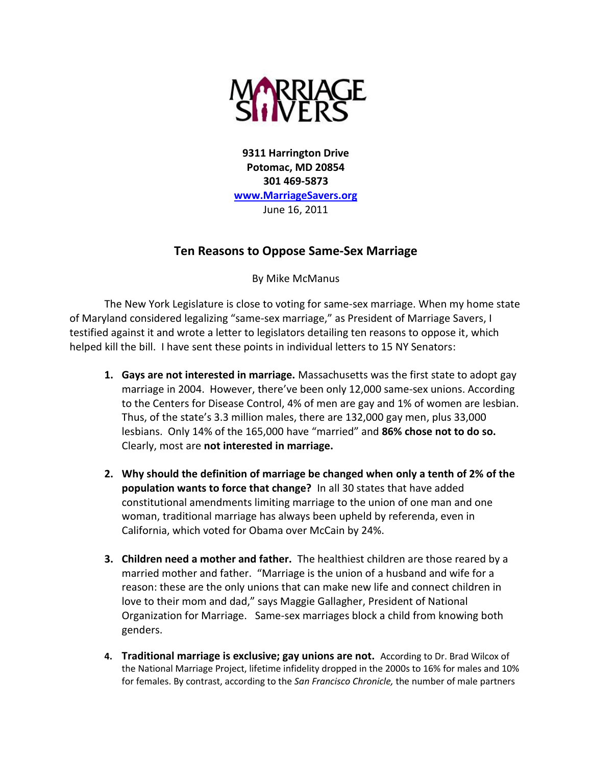

**9311 Harrington Drive Potomac, MD 20854 301 469-5873 [www.MarriageSavers.org](http://www.marriagesavers.org/)** June 16, 2011

## **Ten Reasons to Oppose Same-Sex Marriage**

By Mike McManus

The New York Legislature is close to voting for same-sex marriage. When my home state of Maryland considered legalizing "same-sex marriage," as President of Marriage Savers, I testified against it and wrote a letter to legislators detailing ten reasons to oppose it, which helped kill the bill. I have sent these points in individual letters to 15 NY Senators:

- **1. Gays are not interested in marriage.** Massachusetts was the first state to adopt gay marriage in 2004. However, there've been only 12,000 same-sex unions. According to the Centers for Disease Control, 4% of men are gay and 1% of women are lesbian. Thus, of the state's 3.3 million males, there are 132,000 gay men, plus 33,000 lesbians. Only 14% of the 165,000 have "married" and **86% chose not to do so.** Clearly, most are **not interested in marriage.**
- **2. Why should the definition of marriage be changed when only a tenth of 2% of the population wants to force that change?** In all 30 states that have added constitutional amendments limiting marriage to the union of one man and one woman, traditional marriage has always been upheld by referenda, even in California, which voted for Obama over McCain by 24%.
- **3. Children need a mother and father.** The healthiest children are those reared by a married mother and father. "Marriage is the union of a husband and wife for a reason: these are the only unions that can make new life and connect children in love to their mom and dad," says Maggie Gallagher, President of National Organization for Marriage. Same-sex marriages block a child from knowing both genders.
- **4. Traditional marriage is exclusive; gay unions are not.** According to Dr. Brad Wilcox of the National Marriage Project, lifetime infidelity dropped in the 2000s to 16% for males and 10% for females. By contrast, according to the *San Francisco Chronicle,* the number of male partners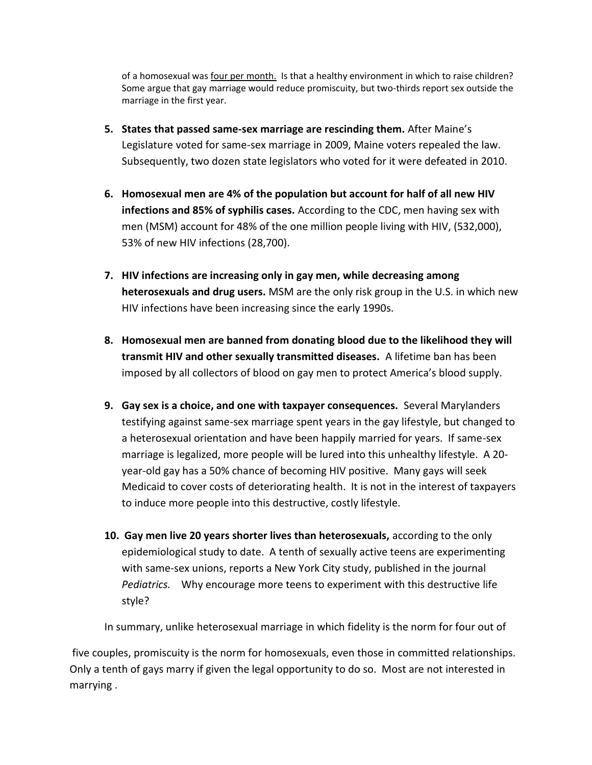of a homosexual was four per month. Is that a healthy environment in which to raise children? Some argue that gay marriage would reduce promiscuity, but two-thirds report sex outside the marriage in the first year.

- **5. States that passed same-sex marriage are rescinding them.** After Maine's Legislature voted for same-sex marriage in 2009, Maine voters repealed the law. Subsequently, two dozen state legislators who voted for it were defeated in 2010.
- **6. Homosexual men are 4% of the population but account for half of all new HIV infections and 85% of syphilis cases.** According to the CDC, men having sex with men (MSM) account for 48% of the one million people living with HIV, (532,000), 53% of new HIV infections (28,700).
- **7. HIV infections are increasing only in gay men, while decreasing among heterosexuals and drug users.** MSM are the only risk group in the U.S. in which new HIV infections have been increasing since the early 1990s.
- **8. Homosexual men are banned from donating blood due to the likelihood they will transmit HIV and other sexually transmitted diseases.** A lifetime ban has been imposed by all collectors of blood on gay men to protect America's blood supply.
- **9. Gay sex is a choice, and one with taxpayer consequences.** Several Marylanders testifying against same-sex marriage spent years in the gay lifestyle, but changed to a heterosexual orientation and have been happily married for years. If same-sex marriage is legalized, more people will be lured into this unhealthy lifestyle. A 20 year-old gay has a 50% chance of becoming HIV positive. Many gays will seek Medicaid to cover costs of deteriorating health. It is not in the interest of taxpayers to induce more people into this destructive, costly lifestyle.
- **10. Gay men live 20 years shorter lives than heterosexuals,** according to the only epidemiological study to date. A tenth of sexually active teens are experimenting with same-sex unions, reports a New York City study, published in the journal *Pediatrics.* Why encourage more teens to experiment with this destructive life style?

In summary, unlike heterosexual marriage in which fidelity is the norm for four out of

five couples, promiscuity is the norm for homosexuals, even those in committed relationships. Only a tenth of gays marry if given the legal opportunity to do so. Most are not interested in marrying .